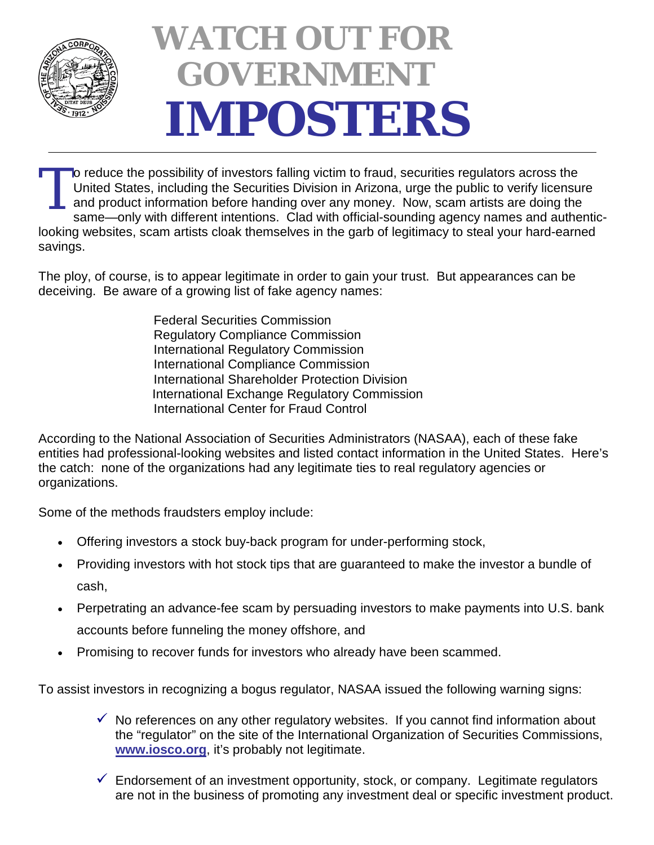

## **WATCH OUT FOR GOVERNMENT IMPOSTERS**

o reduce the possibility of investors falling victim to fraud, securities regulators across the United States, including the Securities Division in Arizona, urge the public to verify licensure and product information before handing over any money. Now, scam artists are doing the same—only with different intentions. Clad with official-sounding agency names and authenticlooking websites, scam artists cloak themselves in the garb of legitimacy to steal your hard-earned savings. T

The ploy, of course, is to appear legitimate in order to gain your trust. But appearances can be deceiving. Be aware of a growing list of fake agency names:

> Federal Securities Commission Regulatory Compliance Commission International Regulatory Commission International Compliance Commission International Shareholder Protection Division International Exchange Regulatory Commission International Center for Fraud Control

According to the National Association of Securities Administrators (NASAA), each of these fake entities had professional-looking websites and listed contact information in the United States. Here's the catch: none of the organizations had any legitimate ties to real regulatory agencies or organizations.

Some of the methods fraudsters employ include:

- Offering investors a stock buy-back program for under-performing stock,
- Providing investors with hot stock tips that are guaranteed to make the investor a bundle of cash,
- Perpetrating an advance-fee scam by persuading investors to make payments into U.S. bank accounts before funneling the money offshore, and
- Promising to recover funds for investors who already have been scammed.

To assist investors in recognizing a bogus regulator, NASAA issued the following warning signs:

- $\checkmark$  No references on any other regulatory websites. If you cannot find information about the "regulator" on the site of the International Organization of Securities Commissions, **[www.iosco.org](http://www.iosco.org/)**, it's probably not legitimate.
- $\checkmark$  Endorsement of an investment opportunity, stock, or company. Legitimate regulators are not in the business of promoting any investment deal or specific investment product.